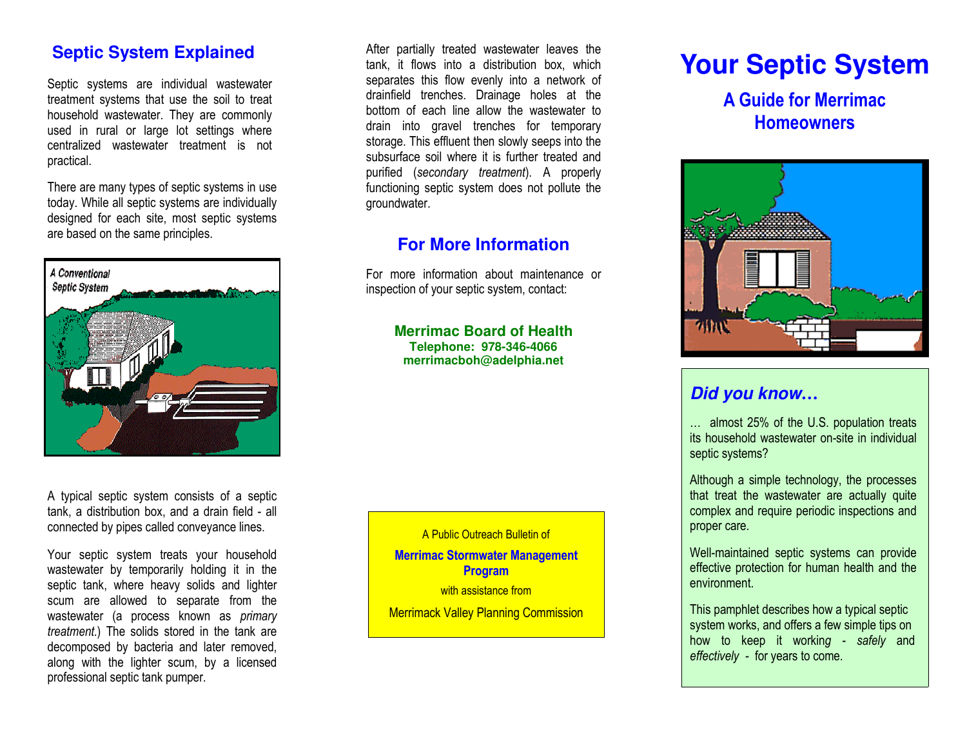### **Septic System Explained**

Septic systems are individual wastewater treatment systems that use the soil to treat household wastewater. They are commonly used in rural or large lot settings where centralized wastewater treatment is not practical.

There are many types of septic systems in use today. While all septic systems are individually designed for each site, most septic systems are based on the same principles.



A typical septic system consists of a septic tank, a distribution box, and a drain field - all connected by pipes called conveyance lines.

Your septic system treats your household wastewater by temporarily holding it in the septic tank, where heavy solids and lighter scum are allowed to separate from the wastewater (a process known as primary treatment.) The solids stored in the tank are decomposed by bacteria and later removed, along with the lighter scum, by a licensed professional septic tank pumper.

After partially treated wastewater leaves the tank, it flows into a distribution box, which separates this flow evenly into a network of drainfield trenches. Drainage holes at the bottom of each line allow the wastewater to drain into gravel trenches for temporary storage. This effluent then slowly seeps into the subsurface soil where it is further treated and purified (secondary treatment). A properly functioning septic system does not pollute the groundwater.

# **For More Information**

For more information about maintenance or inspection of your septic system, contact:

> **Merrimac Board of Health Telephone: 978-346-4066 merrimacboh@adelphia.net**

A Public Outreach Bulletin of Merrimac Stormwater Management Program with assistance from

**Merrimack Valley Planning Commission** 

# **Your Septic System**

A Guide for Merrimac **Homeowners** 



# **Did you know…**

… almost 25% of the U.S. population treats its household wastewater on-site in individual septic systems?

Although a simple technology, the processes that treat the wastewater are actually quite complex and require periodic inspections and proper care.

Well-maintained septic systems can provide effective protection for human health and the environment.

This pamphlet describes how a typical septic system works, and offers a few simple tips on how to keep it working - safely and effectively - for years to come.